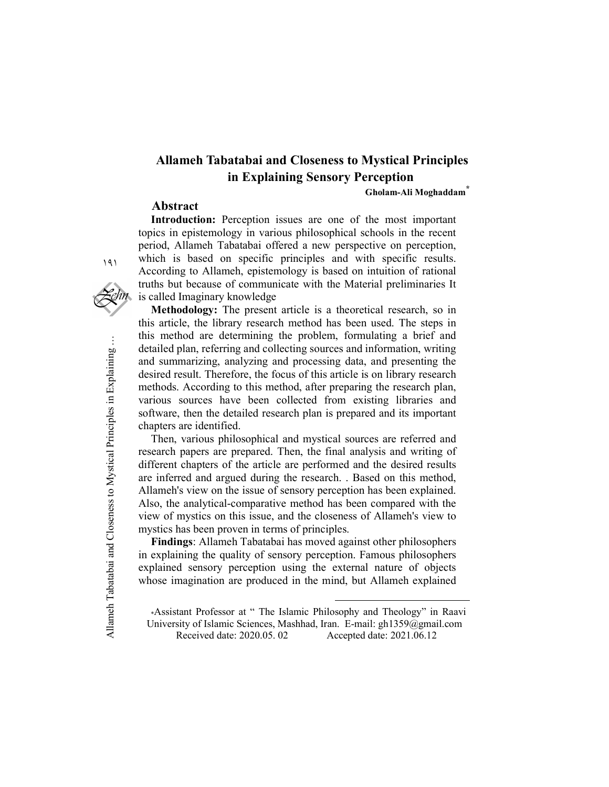## Allameh Tabatabai and Closeness to Mystical Principles in Explaining Sensory Perception

Gholam-Ali Moghaddam<sup>\*</sup>

#### Abstract

Introduction: Perception issues are one of the most important topics in epistemology in various philosophical schools in the recent period, Allameh Tabatabai offered a new perspective on perception, which is based on specific principles and with specific results. According to Allameh, epistemology is based on intuition of rational truths but because of communicate with the Material preliminaries It is called Imaginary knowledge

Methodology: The present article is a theoretical research, so in this article, the library research method has been used. The steps in this method are determining the problem, formulating a brief and detailed plan, referring and collecting sources and information, writing and summarizing, analyzing and processing data, and presenting the desired result. Therefore, the focus of this article is on library research methods. According to this method, after preparing the research plan, various sources have been collected from existing libraries and software, then the detailed research plan is prepared and its important chapters are identified.

Allameth Science and the consideration and the most contained at a respective of the section of the section of the section of the section of the section of the section of the section of the section of the section of the s Then, various philosophical and mystical sources are referred and research papers are prepared. Then, the final analysis and writing of different chapters of the article are performed and the desired results are inferred and argued during the research. . Based on this method, Allameh's view on the issue of sensory perception has been explained. Also, the analytical-comparative method has been compared with the view of mystics on this issue, and the closeness of Allameh's view to mystics has been proven in terms of principles.

Findings: Allameh Tabatabai has moved against other philosophers in explaining the quality of sensory perception. Famous philosophers explained sensory perception using the external nature of objects whose imagination are produced in the mind, but Allameh explained

\*Assistant Professor at " The Islamic Philosophy and Theology" in Raavi University of Islamic Sciences, Mashhad, Iran. E-mail: gh1359@gmail.com<br>Received date: 2020.05.02 Accepted date: 2021.06.12 Accepted date: 2021.06.12

-

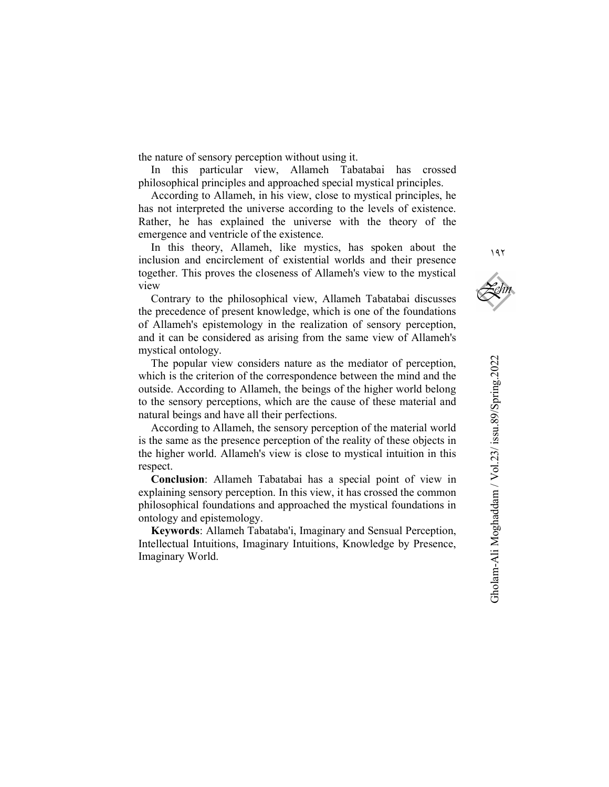the nature of sensory perception without using it.

In this particular view, Allameh Tabatabai has crossed philosophical principles and approached special mystical principles.

According to Allameh, in his view, close to mystical principles, he has not interpreted the universe according to the levels of existence. Rather, he has explained the universe with the theory of the emergence and ventricle of the existence.

In this theory, Allameh, like mystics, has spoken about the inclusion and encirclement of existential worlds and their presence together. This proves the closeness of Allameh's view to the mystical view

Contrary to the philosophical view, Allameh Tabatabai discusses the precedence of present knowledge, which is one of the foundations of Allameh's epistemology in the realization of sensory perception, and it can be considered as arising from the same view of Allameh's mystical ontology.

The popular view considers nature as the mediator of perception, which is the criterion of the correspondence between the mind and the outside. According to Allameh, the beings of the higher world belong to the sensory perceptions, which are the cause of these material and natural beings and have all their perfections.

According to Allameh, the sensory perception of the material world is the same as the presence perception of the reality of these objects in the higher world. Allameh's view is close to mystical intuition in this respect.

Conclusion: Allameh Tabatabai has a special point of view in explaining sensory perception. In this view, it has crossed the common philosophical foundations and approached the mystical foundations in ontology and epistemology.

Keywords: Allameh Tabataba'i, Imaginary and Sensual Perception, Intellectual Intuitions, Imaginary Intuitions, Knowledge by Presence, Imaginary World.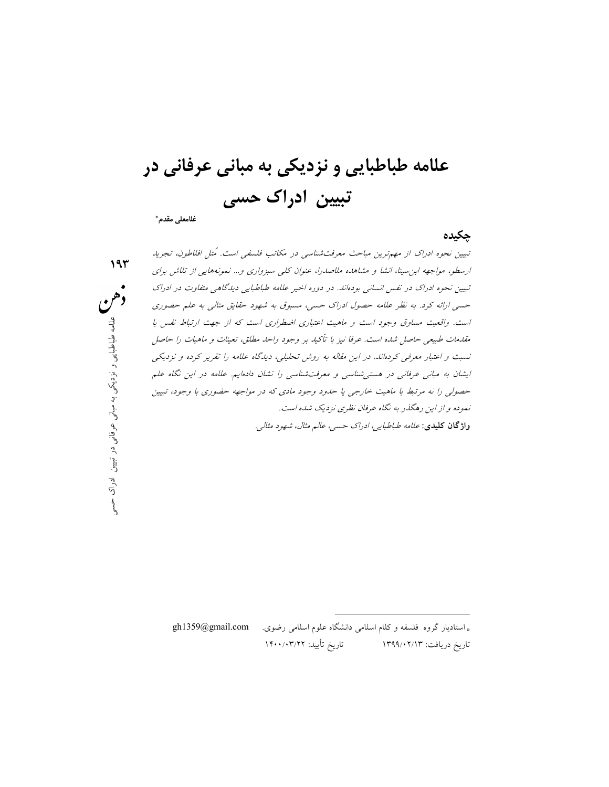علامه طباطبايي و نزديكي به مباني عرفاني در تبيين ادراك حسي

غلامعلي مقدم\*

چكيده

باری اضطراری است که از جهت ارتباط نفس با<br>- بر وجود واحد مطلق، تعینات و ماهیات را حاصل<br>نشناسی را نشان دادهاییم علامه در این نگاه علم<br>نشناسی را نشان دادهاییم علامه در این نگاه علم<br>جود مادی که در مواجهه حضوری با وجود، تبیین<br> تبيين نحوه ادراك از مهمترين مباحث معرفتشناسي در مكاتب فلسفي است. ُمثل افلاطون، تجريد ارسطو، مواجهه ابنسينا، انشا و مشاهده ملاصدرا، عنوان كلي سبزواري و... نمونههايي از تلاش براي تبيين نحوه ادراك در نفس انساني بودهاند. در دوره اخير علامه طباطبايي ديدگاهي متفاوت در ادراك حسي ارائه كرد. به نظر علامه حصول ادراك حسي، مسبوق به شهود حقايق مثالي به علم حضوري است. واقعيت مساوق وجود است و ماهيت اعتباري اضطراري است كه از جهت ارتباط نفس با مقدمات طبيعي حاصل شده است. عرفا نيز با تأكيد بر وجود واحد مطلق، تعينات و ماهيات را حاصل نسبت و اعتبار معرفي كردهاند. در اين مقاله به روش تحليلي، ديدگاه علامه را تقرير كرده و نزديكي ايشان به مباني عرفاني در هستيشناسي و معرفتشناسي را نشان دادهايم. علامه در اين نگاه علم حصولي را نه مرتبط با ماهيت خارجي يا حدود وجود مادي كه در مواجهه حضوري با وجود، تبيين نموده و از اين رهگذر به نگاه عرفان نظري نزديك شده است. واژگان كليدي: علامه طباطبايي، ادراك حسي، عالم مثال، شهود مثالي.

> \* استاديار گروه فلسفه و كلام اسلامي دانشگاه علوم اسلامي رضوي. com.gmail@1359gh تاريخ دريافت: ١٣٩٩/٠٢/١٣ تاريخ تأييد: ١٤٠٠/٠٣/٢٢

-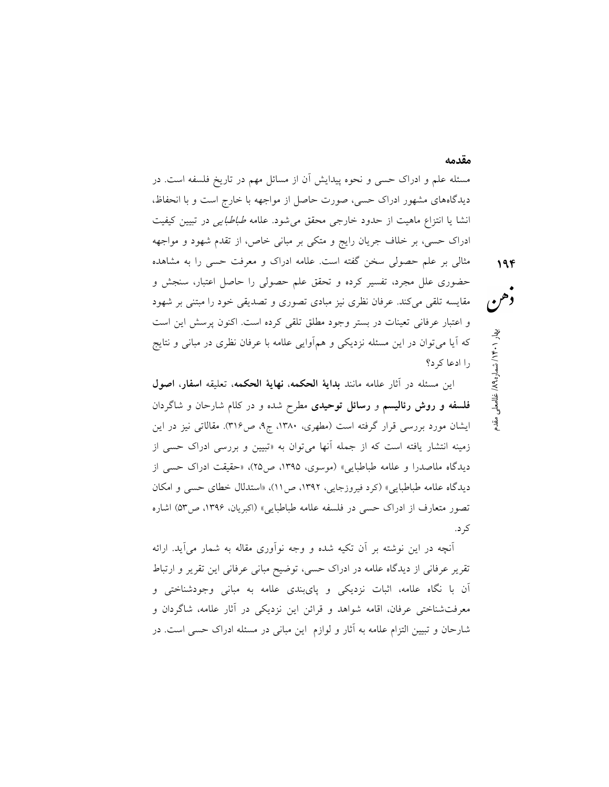مسئله علم و ادراك حسي و نحوه پيدايش آن از مسائل مهم در تاريخ فلسفه است. در ديدگاههاي مشهور ادراك حسي، صورت حاصل از مواجهه با خارج است و با انحفاظ، انشا يا انتزاع ماهيت از حدود خارجي محقق ميشود. علامه طباطبايي در تبيين كيفيت ادراك حسي، بر خلاف جريان رايج و متكي بر مباني خاص، از تقدم شهود و مواجهه مثالي بر علم حصولي سخن گفته است. علامه ادراك و معرفت حسي را به مشاهده حضوري علل مجرد، تفسير كرده و تحقق علم حصولي را حاصل اعتبار، سنجش و مقايسه تلقي ميكند. عرفان نظري نيز مبادي تصوري و تصديقي خود را مبتني بر شهود

و اعتبار عرفاني تعينات در بستر وجود مطلق تلقي كرده است. اكنون پرسش اين است كه آيا ميتوان در اين مسئله نزديكي و همآوايي علامه با عرفان نظري در مباني و نتايج را ادعا كرد؟ معها<br>غلام معلي مقدم / شماره ١٩/١) لخالصة<br>معلم المقدم / شماره ١٩/١) بهالصقائي صقدم

مقدمه

اين مسئله در آثار علامه مانند بداية الحكمه، نهاية الحكمه، تعليقه اسفار، اصول فلسفه و روش رئاليسم و رسائل توحيدي مطرح شده و در كلام شارحان و شاگردان ايشان مورد بررسي قرار گرفته است (مطهري، ،١٣٨٠ ج،٩ ص٣١٦). مقالاتي نيز در اين زمينه انتشار يافته است كه از جمله آنها ميتوان به «تبيين و بررسي ادراك حسي از ديدگاه ملاصدرا و علامه طباطبايي» (موسوي، ،١٣٩٥ ص٢٥)، «حقيقت ادراك حسي از ديدگاه علامه طباطبايي» (كرد فيروزجايي، ،١٣٩٢ ص١١)، «استدلال خطاي حسي و امكان تصور متعارف از ادراك حسي در فلسفه علامه طباطبايي» (اكبريان، ،١٣٩٦ ص٥٣) اشاره كرد.

آنچه در اين نوشته بر آن تكيه شده و وجه نوآوري مقاله به شمار ميآيد. ارائه تقرير عرفاني از ديدگاه علامه در ادراك حسي، توضيح مباني عرفاني اين تقرير و ارتباط آن با نگاه علامه، اثبات نزديكي و پايبندي علامه به مباني وجودشناختي و معرفتشناختي عرفان، اقامه شواهد و قرائن اين نزديكي در آثار علامه، شاگردان و شارحان و تبيين التزام علامه به آثار و لوازم اين مباني در مسئله ادراك حسي است. در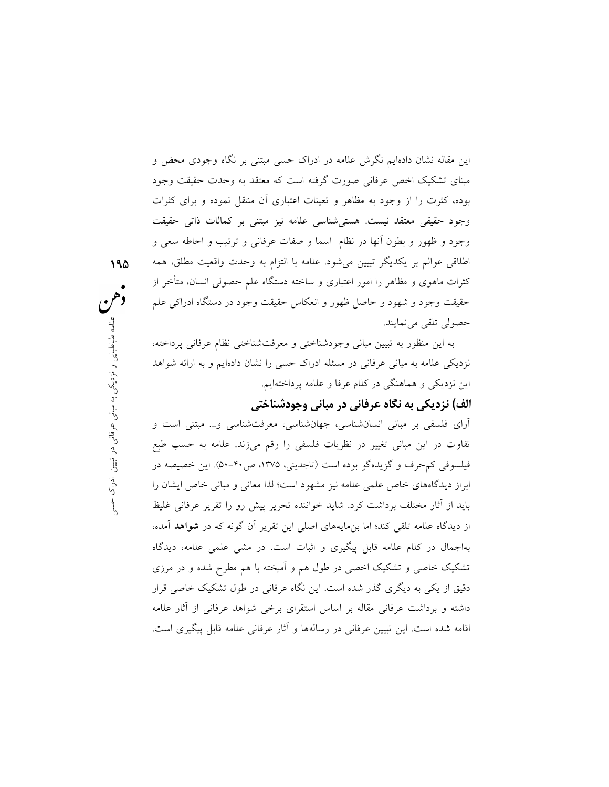اين مقاله نشان دادهايم نگرش علامه در ادراك حسي مبتني بر نگاه وجودي محض و مبناي تشكيك اخص عرفاني صورت گرفته است كه معتقد به وحدت حقيقت وجود بوده، كثرت را از وجود به مظاهر و تعينات اعتباري آن منتقل نموده و براي كثرات وجود حقيقي معتقد نيست. هستيشناسي علامه نيز مبتني بر كمالات ذاتي حقيقت وجود و ظهور و بطون آنها در نظام اسما و صفات عرفاني و ترتيب و احاطه سعي و اطلاقي عوالم بر يكديگر تبيين ميشود. علامه با التزام به وحدت واقعيت مطلق، همه كثرات ماهوي و مظاهر را امور اعتباري و ساخته دستگاه علم حصولي انسان، متأخر از حقيقت وجود و شهود و حاصل ظهور و انعكاس حقيقت وجود در دستگاه ادراكي علم حصولي تلقي مينمايند.

به اين منظور به تبيين مباني وجودشناختي و معرفتشناختي نظام عرفاني پرداخته، نزديكي علامه به مباني عرفاني در مسئله ادراك حسي را نشان دادهايم و به ارائه شواهد اين نزديكي و هماهنگي در كلام عرفا و علامه پرداختهايم.

# الف) نزديكي به نگاه عرفاني در مباني وجودشناختي

فتى و معرفت شناختى نظام عرفانى پرداخته،<br>راک حسى را نشان دادهايم و به ارائه شواهد<br>مه پرداختهايم.<br>**وجودشناختى**<br>شناسى، معرفت شناسى و... مبتنى است و لو ن<sup>و</sup>رد يي به مبان يك و نورد.<br>شناسى، معرفت شناسى و... مبتنى است و<br>تاجدينى، آراي فلسفي بر مباني انسانشناسي، جهانشناسي، معرفتشناسي و... مبتني است و تفاوت در اين مباني تغيير در نظريات فلسفي را رقم ميزند. علامه به حسب طبع فيلسوفي كمحرف و گزيدهگو بوده است (تاجديني، ،١٣٧٥ ص٥٠-٤٠). اين خصيصه در ابراز ديدگاههاي خاص علمي علامه نيز مشهود است؛ لذا معاني و مباني خاص ايشان را بايد از آثار مختلف برداشت كرد. شايد خواننده تحرير پيش رو را تقرير عرفاني غليظ از ديدگاه علامه تلقي كند؛ اما بنمايههاي اصلي اين تقرير آن گونه كه در شواهد آمده، بهاجمال در كلام علامه قابل پيگيري و اثبات است. در مشي علمي علامه، ديدگاه تشكيك خاصي و تشكيك اخصي در طول هم و آميخته با هم مطرح شده و در مرزي دقيق از يكي به ديگري گذر شده است. اين نگاه عرفاني در طول تشكيك خاصي قرار داشته و برداشت عرفاني مقاله بر اساس استقراي برخي شواهد عرفاني از آثار علامه اقامه شده است. اين تبيين عرفاني در رسالهها و آثار عرفاني علامه قابل پيگيري است.

 ١٩٥ دهم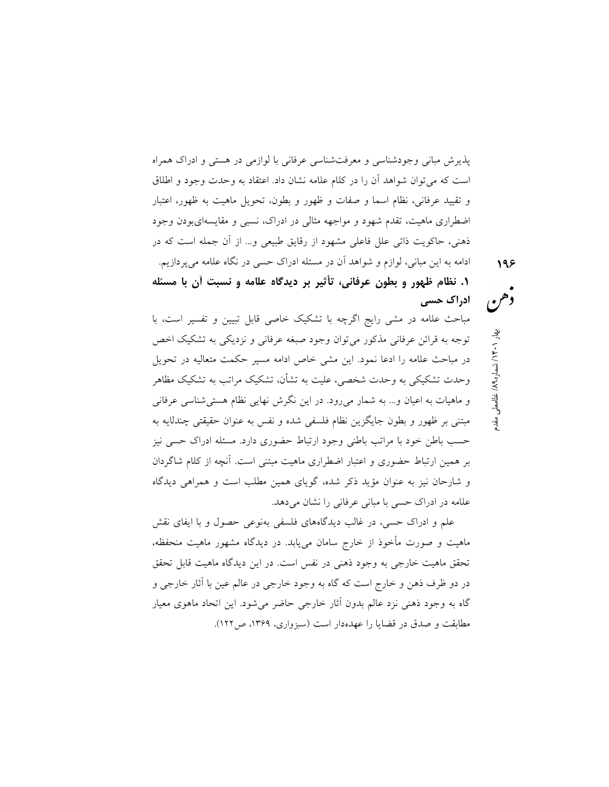پذيرش مباني وجودشناسي و معرفتشناسي عرفاني با لوازمي در هستي و ادراك همراه است كه ميتوان شواهد آن را در كلام علامه نشان داد. اعتقاد به وحدت وجود و اطلاق و تقييد عرفاني، نظام اسما و صفات و ظهور و بطون، تحويل ماهيت به ظهور، اعتبار اضطراري ماهيت، تقدم شهود و مواجهه مثالي در ادراك، نسبي و مقايسهايبودن وجود ذهني، حاكويت ذاتي علل فاعلي مشهود از رقايق طبيعي و... از آن جمله است كه در ادامه به اين مباني، لوازم و شواهد آن در مسئله ادراك حسي در نگاه علامه ميپردازيم.

.١ نظام ظهور و بطون عرفاني، تأثير بر ديدگاه علامه و نسبت آن با مسئله ادراك حسي

مباحث علامه در مشي رايج اگرچه با تشكيك خاصي قابل تبيين و تفسير است، با توجه به قرائن عرفاني مذكور ميتوان وجود صبغه عرفاني و نزديكي به تشكيك اخص در مباحث علامه را ادعا نمود. اين مشي خاص ادامه مسير حكمت متعاليه در تحويل وحدت تشكيكي به وحدت شخصي، عليت به تشأن، تشكيك مراتب به تشكيك مظاهر و ماهيات به اعيان و... به شمار ميرود. در اين نگرش نهايي نظام هستيشناسي عرفاني مبتني بر ظهور و بطون جايگزين نظام فلسفي شده و نفس به عنوان حقيقتي چندلايه به حسب باطن خود با مراتب باطني وجود ارتباط حضوري دارد. مسئله ادراك حسي نيز بر همين ارتباط حضوري و اعتبار اضطراري ماهيت مبتني است. آنچه از كلام شاگردان و شارحان نيز به عنوان مؤيد ذكر شده، گوياي همين مطلب است و همراهي ديدگاه علامه در ادراك حسى با مباني عرفاني را نشان مي دهد.

علم و ادراك حسي، در غالب ديدگاههاي فلسفي بهنوعي حصول و با ايفاي نقش ماهيت و صورت مأخوذ از خارج سامان مييابد. در ديدگاه مشهور ماهيت منحفظه، تحقق ماهيت خارجي به وجود ذهني در نفس است. در اين ديدگاه ماهيت قابل تحقق در دو ظرف ذهن و خارج است كه گاه به وجود خارجي در عالم عين با آثار خارجي و گاه به وجود ذهني نزد عالم بدون آثار خارجي حاضر ميشود. اين اتحاد ماهوي معيار مطابقت و صدق در قضايا را عهدهدار است (سبزواري، ،١٣٦٩ ص١٢٢). مع هم<br>فلامعلي ميهار ١٠٠ هـ/ ان نشاره ١٩٨ ان الفاصلي مقدم<br>معلم المقدم العاملية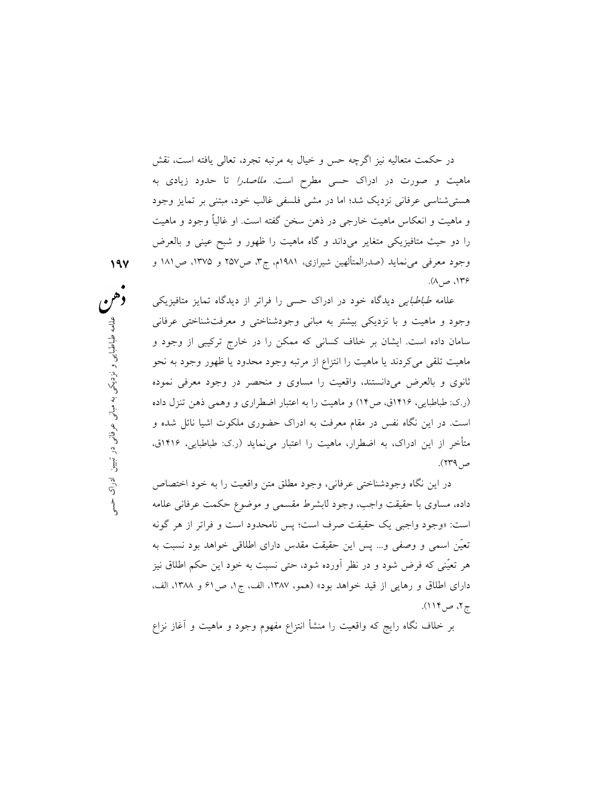در حكمت متعاليه نيز اگرچه حس و خيال به مرتبه تجرد، تعالي يافته است، نقش ماهيت و صورت در ادراك حسي مطرح است. ملاصدرا تا حدود زيادي به هستيشناسي عرفاني نزديك شد؛ اما در مشي فلسفي غالب خود، مبتني بر تمايز وجود و ماهيت و انعكاس ماهيت خارجي در ذهن سخن گفته است. او غالبًا وجود و ماهيت را دو حيث متافيزيكي متغاير ميداند و گاه ماهيت را ظهور و شبح عيني و بالعرض وجود معرفي مي $\omega$ مايد (صدرالمتألهين شيرازي، ١٩٨١م، ج٣، ص١٣٧ و ١٣٧۵، ص١٨١ و ،١٣٦ ص٨).

نی وجودشناختی و معرفتشناختی عرفانی<br>که ممکن را در خارج ترکیبی از وجود و<br>ساوی و منحصر در وجود معرفی نموده<br>اساوی و منحصر در وجود معرفی نموده<br>ابه اعتبار اضطراری و وهمی ذهن تنزل داده<br>ادراک حضوری ملکوت اشیا نائل شده و<br>را اعتبار علامه طباطبايي ديدگاه خود در ادراك حسي را فراتر از ديدگاه تمايز متافيزيكي وجود و ماهيت و با نزديكي بيشتر به مباني وجودشناختي و معرفتشناختي عرفاني سامان داده است. ايشان بر خلاف كساني كه ممكن را در خارج تركيبي از وجود و ماهيت تلقي ميكردند يا ماهيت را انتزاع از مرتبه وجود محدود يا ظهور وجود به نحو ثانوي و بالعرض ميدانستند، واقعيت را مساوي و منحصر در وجود معرفي نموده (ر.ك: طباطبايي، ١٤١٦ق، ص١٤) و ماهيت را به اعتبار اضطراري و وهمي ذهن تنزل داده است. در اين نگاه نفس در مقام معرفت به ادراك حضوري ملكوت اشيا نائل شده و متأخر از اين ادراك، به اضطرار، ماهيت را اعتبار مينمايد (ر.ك: طباطبايي، ١٤١٦ق، ص٢٣٩).

در اين نگاه وجودشناختي عرفاني، وجود مطلق متن واقعيت را به خود اختصاص داده، مساوي با حقيقت واجب، وجود لابشرط مقسمي و موضوع حكمت عرفاني علامه است: «وجود واجبى يك حقيقت صرف است؛ پس نامحدود است و فراتر از هر گونه تعّين اسمى و وصفى و... پس اين حقيقت مقدس داراى اطلاقى خواهد بود نسبت به هر تعيّنى كه فرض شود و در نظر آورده شود، حتى نسبت به خود اين حكم اطلاق نيز داراى اطلاق و رهايى از قيد خواهد بود» (همو، ،١٣٨٧ الف، ج،١ ص٦١ و ،١٣٨٨ الف، ج،٢ ص١١٤).

بر خلاف نگاه رايج كه واقعيت را منشأ انتزاع مفهوم وجود و ماهيت و آغاز نزاع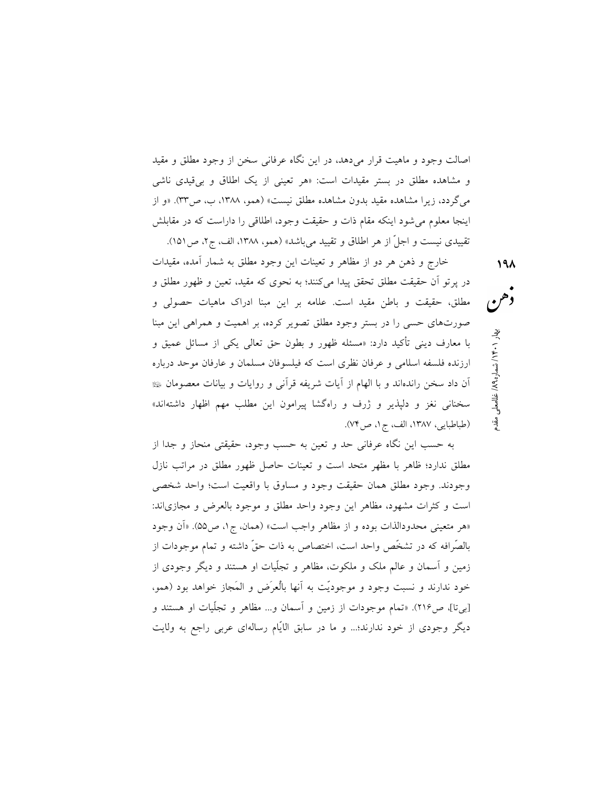اصالت وجود و ماهيت قرار ميدهد، در اين نگاه عرفاني سخن از وجود مطلق و مقيد و مشاهده مطلق در بستر مقيدات است: «هر تعيني از يك اطلاق و بيقيدي ناشي ميگردد، زيرا مشاهده مقيد بدون مشاهده مطلق نيست» (همو، ،١٣٨٨ ب، ص٣٣). «و از اينجا معلوم مىشود اينكه مقام ذات و حقيقت وجود، اطلاقى را داراست كه در مقابلش تقييدى نيست و اجلّ از هر اطلاق و تقييد مىباشد» (همو، ،١٣٨٨ الف، ج،٢ ص١٥١).

 خارج و ذهن هر دو از مظاهر و تعينات اين وجود مطلق به شمار آمده، مقيدات در پرتو آن حقيقت مطلق تحقق پيدا ميكنند؛ به نحوي كه مقيد، تعين و ظهور مطلق و مطلق، حقيقت و باطن مقيد است. علامه بر اين مبنا ادراك ماهيات حصولي و صورتهاي حسي را در بستر وجود مطلق تصوير كرده، بر اهميت و همراهي اين مبنا با معارف ديني تأكيد دارد: «مسئله ظهور و بطون حق تعالى يكى از مسائل عميق و ارزنده فلسفه اسلامى و عرفان نظرى است كه فيلسوفان مسلمان و عارفان موحد درباره آن داد سخن راندهاند و با الهام از آيات شريفه قرآنى و روايات و بيانات معصومان سخنانى نغز و دلپذير و ژرف و راهگشا پيرامون اين مطلب مهم اظهار داشتهاند» (طباطبايي، ،١٣٨٧ الف، ج،١ ص٧٤).

غامها معهد ( ۱۰ ∗ با / شماره ۱۹۸ ) غفائده محل<br>وهم معل<br>المعلم السمار المقدم بهار المستقدم بهار المستقدم بهار المستقدم بهار ا

به حسب اين نگاه عرفاني حد و تعين به حسب وجود، حقيقتي منحاز و جدا از مطلق ندارد؛ ظاهر با مظهر متحد است و تعينات حاصل ظهور مطلق در مراتب نازل وجودند. وجود مطلق همان حقيقت وجود و مساوق با واقعيت است؛ واحد شخصي است و كثرات مشهود، مظاهر اين وجود واحد مطلق و موجود بالعرض و مجازياند: «هر متعينى محدودالذات بوده و از مظاهر واجب است» (همان، ج،١ ص٥٥). «آن وجود بالصّرافه كه در تشخّص واحد است، اختصاص به ذات حقّ داشته و تمام موجودات از زمين و آسمان و عالم ملك و ملكوت، مظاهر و تجلّيات او هستند و ديگر وجودى از خود ندارند و نسبت وجود و موجودّيت به آنها باْلع َرض و المَجاز خواهد بود (همو، [بيتا]، ص٢١٦). «تمام موجودات از زمين و آسمان و... مظاهر و تجّليات او هستند و ديگر وجودى از خود ندارند؛... و ما در سابق الايّام رسالهاى عربى راجع به ولايت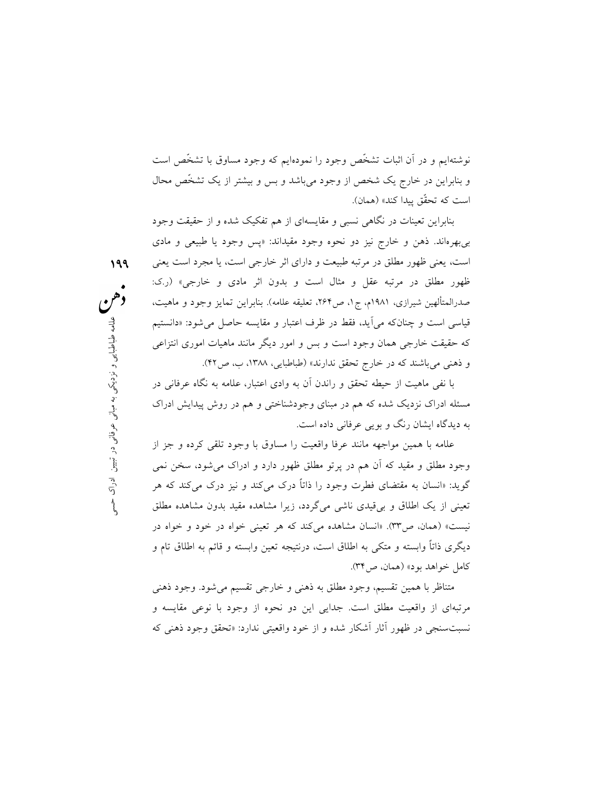نوشتهايم و در آن اثبات تشخّص وجود را نمودهايم كه وجود مساوق با تشخّص است و بنابراين در خارج يك شخص از وجود مىباشد و بس و بيشتر از يك تشخّص محال است كه تحقّق پيدا كند» (همان).

بنابراين تعينات در نگاهي نسبي و مقايسهاي از هم تفكيك شده و از حقيقت وجود بيبهرهاند. ذهن و خارج نيز دو نحوه وجود مقيداند: «پس وجود يا طبيعي و مادي است، يعني ظهور مطلق در مرتبه طبيعت و داراي اثر خارجي است، يا مجرد است يعني ظهور مطلق در مرتبه عقل و مثال است و بدون اثر مادي و خارجي» (ر.ك: صدرالمتألهين شيرازي، ١٩٨١م، ج،١ ص،٢٦٤ تعليقه علامه). بنابراين تمايز وجود و ماهيت، قياسي است و چنانكه ميآيد، فقط در ظرف اعتبار و مقايسه حاصل ميشود: «دانستيم كه حقيقت خارجي همان وجود است و بس و امور ديگر مانند ماهيات اموري انتزاعي و ذهني ميباشند كه در خارج تحقق ندارند» (طباطبايي، ،١٣٨٨ ب، ص٤٢).

١٩٩

با نفي ماهيت از حيطه تحقق و راندن آن به وادي اعتبار، علامه به نگاه عرفاني در مسئله ادراك نزديك شده كه هم در مبناي وجودشناختي و هم در روش پيدايش ادراك به ديدگاه ايشان رنگ و بويي عرفاني داده است.

ف اعتبار و مقايسه حاصل مى شود: «دانستيم<br>بر و امور ديگر مانند ماهيات امورى انتزاعى<br>» (طباطبايى، ۱۳۸۸، ب، ص۴۲).<br>آن به وادى اعتبار، علمامه به نگاه عرفانى در<br>وجودشناختى و هم در روش پيدايش ادراك<br>ست.<br>نق ناههور دارد و ادراك مى ش علامه با همين مواجهه مانند عرفا واقعيت را مساوق با وجود تلقي كرده و جز از وجود مطلق و مقيد كه آن هم در پرتو مطلق ظهور دارد و ادراك ميشود، سخن نمي گويد: «انسان به مقتضاي فطرت وجود را ذاتًا درك ميكند و نيز درك ميكند كه هر تعيني از يك اطلاق و بيقيدي ناشي ميگردد، زيرا مشاهده مقيد بدون مشاهده مطلق نيست» (همان، ص٣٣). «انسان مشاهده ميكند كه هر تعيني خواه در خود و خواه در ديگري ذاتًا وابسته و متكي به اطلاق است، درنتيجه تعين وابسته و قائم به اطلاق تام و كامل خواهد بود» (همان، ص٣٤).

> متناظر با همين تقسيم، وجود مطلق به ذهني و خارجي تقسيم ميشود. وجود ذهني مرتبهاي از واقعيت مطلق است. جدايي اين دو نحوه از وجود با نوعي مقايسه و نسبتسنجي در ظهور آثار آشكار شده و از خود واقعيتي ندارد: «تحقق وجود ذهني كه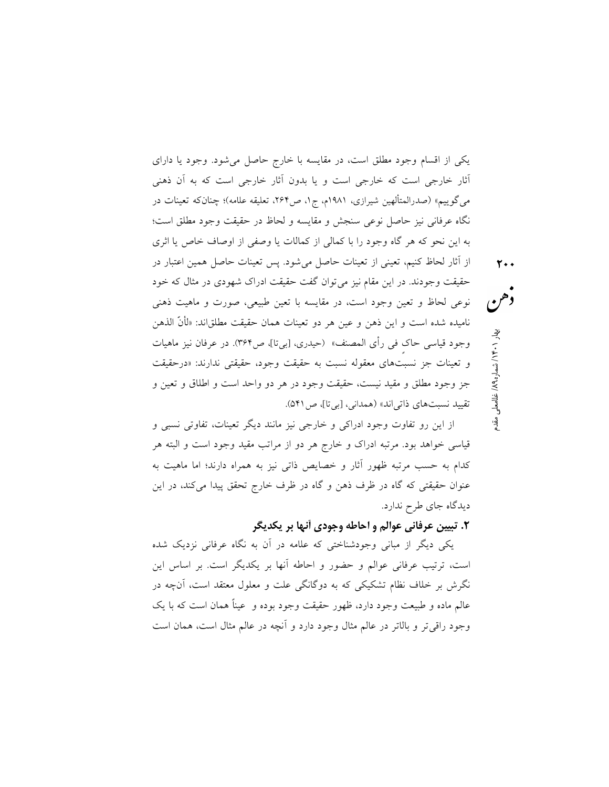يكي از اقسام وجود مطلق است، در مقايسه با خارج حاصل ميشود. وجود يا داراي آثار خارجي است كه خارجي است و يا بدون آثار خارجي است كه به آن ذهني ميگوييم» (صدرالمتألهين شيرازي، ١٩٨١م، ج،١ ص،٢٦٤ تعليقه علامه)؛ چنانكه تعينات در نگاه عرفاني نيز حاصل نوعي سنجش و مقايسه و لحاظ در حقيقت وجود مطلق است؛ به اين نحو كه هر گاه وجود را با كمالي از كمالات يا وصفي از اوصاف خاص يا اثري از آثار لحاظ كنيم، تعيني از تعينات حاصل ميشود. پس تعينات حاصل همين اعتبار در حقيقت وجودند. در اين مقام نيز ميتوان گفت حقيقت ادراك شهودي در مثال كه خود نوعي لحاظ و تعين وجود است، در مقايسه با تعين طبيعي، صورت و ماهيت ذهني ناميده شده است و اين ذهن و عين هر دو تعينات همان حقيقت مطلق!ند: «لأَنَّ الذهن وجود قياسى حاك فى رأى المصنف» (حيدري، [بيتا]، ص٣۶۴). در عرفان نيز ماهيات و تعينات جز نسبتهاي معقوله نسبت به حقيقت وجود، حقيقتي ندارند: «درحقيقت

تقييد نسبتهاي ذاتياند» (همداني، [بيتا]، ص٥٤١).

غلامعلي مقدم / ٨٩ ه / شمار ١٤٠١ بهار ٢٠٠

از اين رو تفاوت وجود ادراكي و خارجي نيز مانند ديگر تعينات، تفاوتي نسبي و قياسي خواهد بود. مرتبه ادراك و خارج هر دو از مراتب مقيد وجود است و البته هر كدام به حسب مرتبه ظهور آثار و خصايص ذاتي نيز به همراه دارند؛ اما ماهيت به عنوان حقيقتي كه گاه در ظرف ذهن و گاه در ظرف خارج تحقق پيدا ميكند، در اين ديدگاه جاي طرح ندارد.

جز وجود مطلق و مقيد نيست، حقيقت وجود در هر دو واحد است و اطلاق و تعين و

### .٢ تبيين عرفاني عوالم و احاطه وجودي آنها بر يكديگر

يكي ديگر از مباني وجودشناختي كه علامه در آن به نگاه عرفاني نزديك شده است، ترتيب عرفاني عوالم و حضور و احاطه آنها بر يكديگر است. بر اساس اين نگرش بر خلاف نظام تشكيكي كه به دوگانگي علت و معلول معتقد است، آنچه در عالم ماده و طبيعت وجود دارد، ظهور حقيقت وجود بوده و عيناً همان است كه با يك وجود راقيتر و بالاتر در عالم مثال وجود دارد و آنچه در عالم مثال است، همان است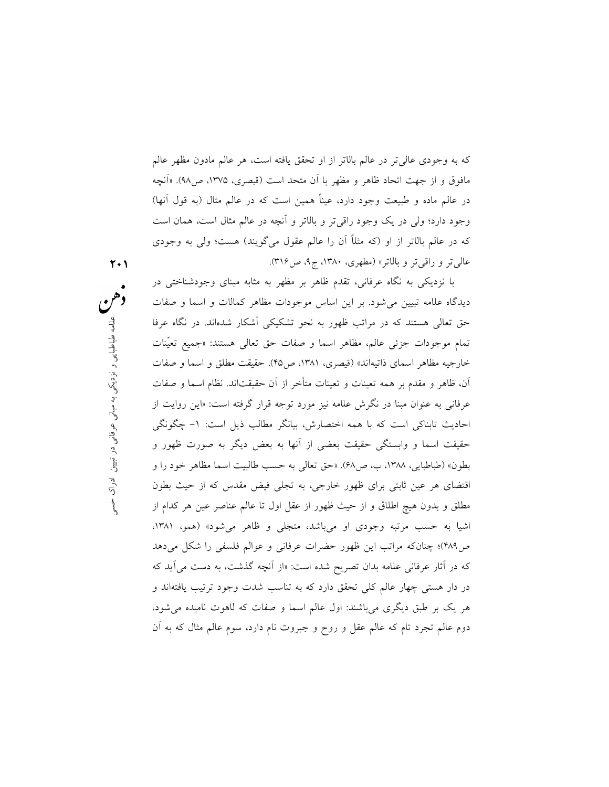كه به وجودي عاليتر در عالم بالاتر از او تحقق يافته است، هر عالم مادون مظهر عالم مافوق و از جهت اتحاد ظاهر و مظهر با آن متحد است (قيصري، ،١٣٧٥ ص٩٨). «آنچه در عالم ماده و طبيعت وجود دارد، عينًا همين است كه در عالم مثال (به قول آنها) وجود دارد؛ ولي در يك وجود راقيتر و بالاتر و آنچه در عالم مثال است، همان است كه در عالم بالاتر از او (كه مثلًا آن را عالم عقول ميگويند) هست؛ ولي به وجودي عاليتر و راقيتر و بالاتر» (مطهري، ،١٣٨٠ ج،٩ ص٣١٦).

نحو تشكيكى آشكار شدهاند. در نگاه عرفا<br>1۳٪، ص۴۵). حقيقت مطلق و اسما و صفات<br>1۳٪، ص۴۵). حقيقت نطلق و اسما و صفات<br>متأخر از آن حقيقتاند. نظام اسما و صفات<br>مورد توجه قرار گرفته است: «اين روايت از<br>نن، بيانگر مطالب ذيل است: ۱- چگو با نزديكي به نگاه عرفاني، تقدم ظاهر بر مظهر به مثابه مبناي وجودشناختي در ديدگاه علامه تبيين ميشود. بر اين اساس موجودات مظاهر كمالات و اسما و صفات حق تعالي هستند كه در مراتب ظهور به نحو تشكيكي آشكار شدهاند. در نگاه عرفا تمام موجودات جزئي عالم، مظاهر اسما و صفات حق تعالي هستند: «جميع تعيّنات خارجيه مظاهر اسماي ذاتيهاند» (قيصرى، ،١٣٨١ ص٤٥). حقيقت مطلق و اسما و صفات آن، ظاهر و مقدم بر همه تعينات و تعينات متأخر از آن حقيقتاند. نظام اسما و صفات عرفاني به عنوان مبنا در نگرش علامه نيز مورد توجه قرار گرفته است: «اين روايت از احاديث تابناكى است كه با همه اختصارش، بيانگر مطالب ذيل است: -١ چگونگى حقيقت اسما و وابستگى حقيقت بعضى از آنها به بعض ديگر به صورت ظهور و بطون» (طباطبايي، ،١٣٨٨ ب، ص٦٨). «حق تعالى به حسب طالبيت اسما مظاهر خود را و اقتضاى هر عين ثابتى براى ظهور خارجى، به تجلى فيض مقدس كه از حيث بطون مطلق و بدون هيچ اطلاق و از حيث ظهور از عقل اول تا عالم عناصر عين هر كدام از اشيا به حسب مرتبه وجودى او مىباشد، متجلى و ظاهر مىشود» (همو، ،١٣٨١ ص٤٨٩)؛ چنانكه مراتب اين ظهور حضرات عرفاني و عوالم فلسفي را شكل ميدهد كه در آثار عرفاني علامه بدان تصريح شده است: «از آنچه گذشت، به دست ميآيد كه در دار هستي چهار عالم كلي تحقق دارد كه به تناسب شدت وجود ترتيب يافتهاند و هر يك بر طبق ديگري ميباشند: اول عالم اسما و صفات كه لاهوت ناميده ميشود، دوم عالم تجرد تام كه عالم عقل و روح و جبروت نام دارد، سوم عالم مثال كه به آن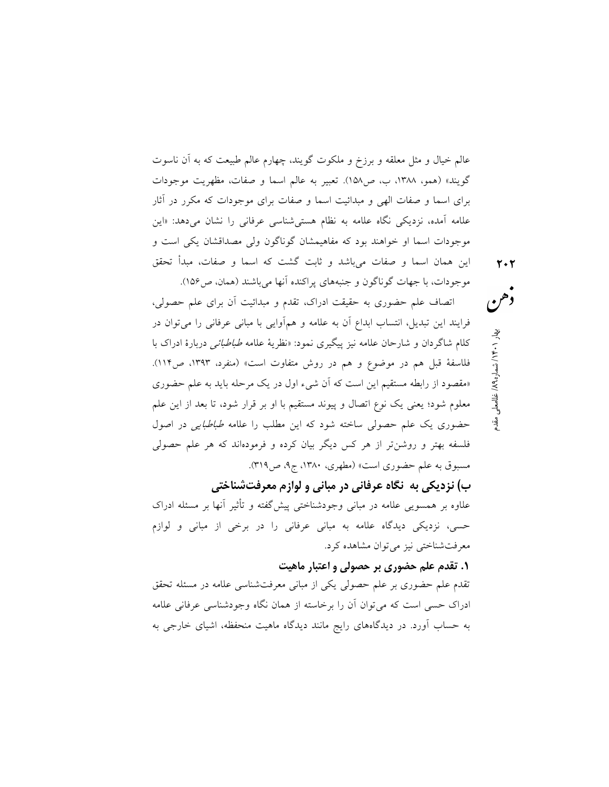عالم خيال و مثل معلقه و برزخ و ملكوت گويند، چهارم عالم طبيعت كه به آن ناسوت گويند» (همو، ،١٣٨٨ ب، ص١٥٨). تعبير به عالم اسما و صفات، مظهريت موجودات براي اسما و صفات الهي و مبدائيت اسما و صفات براي موجودات كه مكرر در آثار علامه آمده، نزديكي نگاه علامه به نظام هستيشناسي عرفاني را نشان ميدهد: «اين موجودات اسما او خواهند بود كه مفاهيمشان گوناگون ولى مصداقشان يكى است و اين همان اسما و صفات مىباشد و ثابت گشت كه اسما و صفات، مبدأ تحقق

موجودات، با جهات گوناگون و جنبههاى پراكنده آنها مىباشند (همان، ص١٥٦). اتصاف علم حضوري به حقيقت ادراك، تقدم و مبدائيت آن براي علم حصولي، فرايند اين تبديل، انتساب ابداع آن به علامه و همآوايي با مباني عرفاني را ميتوان در كلام شاگردان و شارحان علامه نيز پيگيري نمود: «نظرية علامه طباطبائي دربارة ادراك با فلاسفة قبل هم در موضوع و هم در روش متفاوت است» (منفرد، ،١٣٩٣ ص١١٤). «مقصود از رابطه مستقيم اين است كه آن شيء اول در يك مرحله بايد به علم حضوري معلوم شود؛ يعني يك نوع اتصال و پيوند مستقيم با او بر قرار شود، تا بعد از اين علم حضوري يك علم حصولي ساخته شود كه اين مطلب را علامه طباطبايي در اصول فلسفه بهتر و روشنتر از هر كس ديگر بيان كرده و فرمودهاند كه هر علم حصولي مسبوق به علم حضوري است» (مطهري، ،١٣٨٠ ج،٩ ص٣١٩).

ب) نزديكي به نگاه عرفاني در مباني و لوازم معرفتشناختي

علاوه بر همسويي علامه در مباني وجودشناختي پيشگفته و تأثير آنها بر مسئله ادراك حسي، نزديكي ديدگاه علامه به مباني عرفاني را در برخي از مباني و لوازم معرفتشناختي نيز ميتوان مشاهده كرد.

#### .١ تقدم علم حضوري بر حصولي و اعتبار ماهيت

تقدم علم حضوري بر علم حصولي يكي از مباني معرفتشناسي علامه در مسئله تحقق ادراك حسي است كه ميتوان آن را برخاسته از همان نگاه وجودشناسي عرفاني علامه به حساب آورد. در ديدگاههاي رايج مانند ديدگاه ماهيت منحفظه، اشياي خارجي به غلامعلي مقدم / ٨٩ ه / شمار ١٤٠١ بهار ٢٠٢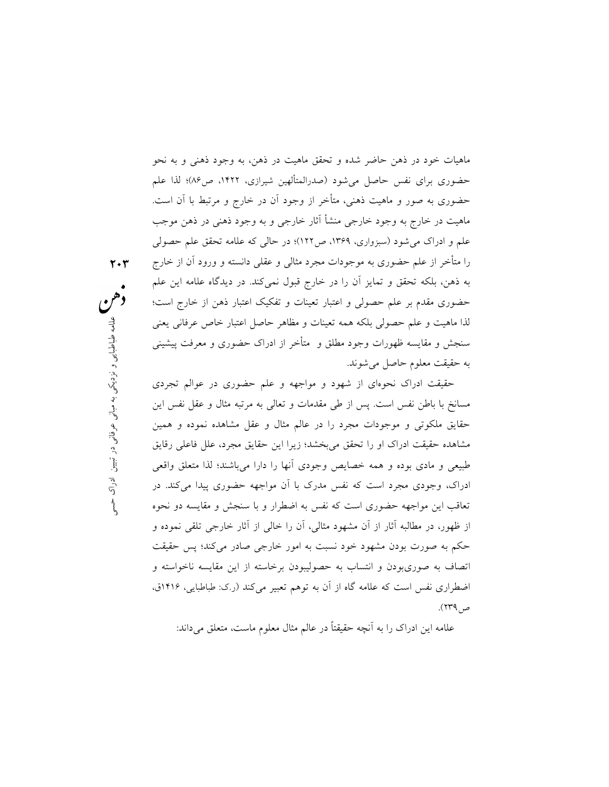ماهيات خود در ذهن حاضر شده و تحقق ماهيت در ذهن، به وجود ذهني و به نحو حضوري براي نفس حاصل ميشود (صدرالمتألهين شيرازي، ،١٤٢٢ ص٨٦)؛ لذا علم حضوري به صور و ماهيت ذهني، متأخر از وجود آن در خارج و مرتبط با آن است. ماهيت در خارج به وجود خارجي منشأ آثار خارجي و به وجود ذهني در ذهن موجب علم و ادراك ميشود (سبزواري، ،١٣٦٩ ص١٢٢)؛ در حالي كه علامه تحقق علم حصولي را متأخر از علم حضوري به موجودات مجرد مثالي و عقلي دانسته و ورود آن از خارج به ذهن، بلكه تحقق و تمايز آن را در خارج قبول نميكند. در ديدگاه علامه اين علم حضوري مقدم بر علم حصولي و اعتبار تعينات و تفكيك اعتبار ذهن از خارج است؛ لذا ماهيت و علم حصولي بلكه همه تعينات و مظاهر حاصل اعتبار خاص عرفاني يعني سنجش و مقايسه ظهورات وجود مطلق و متأخر از ادراك حضوري و معرفت پيشيني به حقيقت معلوم حاصل ميشوند.

٢٠٣

) و مظاهر حاصل اعتبار خاص عرفانی يعنی<br>متأخر از ادراک حضوری و معرفت پيشينی<br>واجهه و علم حضوری در عوالم تجردی<br>مات و تعالی به مرتبه مثال و عقل نفس اين<br>عالم مثال و عقل مشاهده نموده و همين<br>دي ان اين حقايق مجرد، علل فاعلی رقايق<br> حقيقت ادراك نحوهاي از شهود و مواجهه و علم حضوري در عوالم تجردي مسانخ با باطن نفس است. پس از طي مقدمات و تعالي به مرتبه مثال و عقل نفس اين حقايق ملكوتي و موجودات مجرد را در عالم مثال و عقل مشاهده نموده و همين مشاهده حقيقت ادراك او را تحقق ميبخشد؛ زيرا اين حقايق مجرد، علل فاعلي رقايق طبيعي و مادي بوده و همه خصايص وجودي آنها را دارا ميباشند؛ لذا متعلق واقعي ادراك، وجودي مجرد است كه نفس مدرك با آن مواجهه حضوري پيدا ميكند. در تعاقب اين مواجهه حضوري است كه نفس به اضطرار و با سنجش و مقايسه دو نحوه از ظهور، در مطالبه آثار از آن مشهود مثالي، آن را خالي از آثار خارجي تلقي نموده و حكم به صورت بودن مشهود خود نسبت به امور خارجي صادر ميكند؛ پس حقيقت اتصاف به صوريبودن و انتساب به حصوليبودن برخاسته از اين مقايسه ناخواسته و اضطراري نفس است كه علامه گاه از آن به توهم تعبير ميكند (ر.ك: طباطبايي، ١٤١٦ق، ص٢٣٩).

علامه اين ادراك را به آنچه حقيقتًا در عالم مثال معلوم ماست، متعلق ميداند: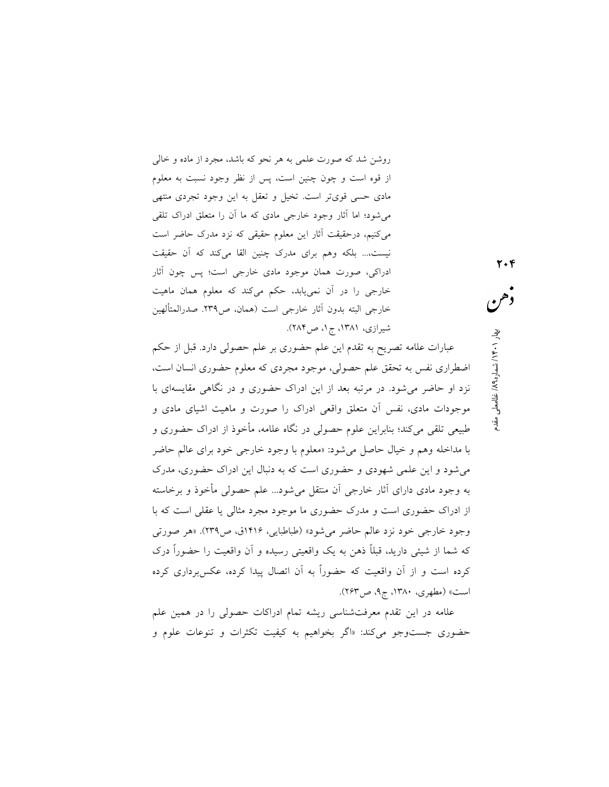روشن شد كه صورت علمي به هر نحو كه باشد، مجرد از ماده و خالي از قوه است و چون چنين است، پس از نظر وجود نسبت به معلوم مادي حسي قويتر است. تخيل و تعقل به اين وجود تجردي منتهي ميشود؛ اما آثار وجود خارجي مادي كه ما آن را متعلق ادراك تلقي ميكنيم، درحقيقت آثار اين معلوم حقيقي كه نزد مدرك حاضر است نيست...، بلكه وهم براي مدرك چنين القا ميكند كه آن حقيقت ادراكي، صورت همان موجود مادي خارجي است؛ پس چون آثار خارجي را در آن نمييابد، حكم ميكند كه معلوم همان ماهيت خارجي البته بدون آثار خارجي است (همان، ص.٢٣٩ صدرالمتألهين شيرازي، ،١٣٨١ ج،١ ص٢٨٤).

عبارات علامه تصريح به تقدم اين علم حضورى بر علم حصولى دارد. قبل از حكم اضطراري نفس به تحقق علم حصولى، موجود مجردي كه معلوم حضوري انسان است، نزد او حاضر ميشود. در مرتبه بعد از اين ادراك حضوري و در نگاهي مقايسهاي با موجودات مادي، نفس آن متعلق واقعي ادراك را صورت و ماهيت اشياي مادي و طبيعي تلقي ميكند؛ بنابراين علوم حصولي در نگاه علامه، مأخوذ از ادراك حضوري و با مداخله وهم و خيال حاصل ميشود: «معلوم با وجود خارجي خود براي عالم حاضر ميشود و اين علمي شهودي و حضوري است كه به دنبال اين ادراك حضوري، مدرك به وجود مادي داراي آثار خارجي آن منتقل ميشود... علم حصولي مأخوذ و برخاسته از ادراك حضوري است و مدرك حضوري ما موجود مجرد مثالي يا عقلي است كه با وجود خارجي خود نزد عالم حاضر ميشود» (طباطبايي، ١٤١٦ق، ص٢٣٩). «هر صورتى كه شما از شيئى داريد، قبلًا ذهن به يك واقعيتى رسيده و آن واقعيت را حضوراً درك كرده است و از آن واقعيت كه حضورًا به آن اتصال پيدا كرده، عكسبردارى كرده است» (مطهري، ،١٣٨٠ ج،٩ ص٢٦٣).

علامه در اين تقدم معرفتشناسي ريشه تمام ادراكات حصولي را در همين علم حضوري جستوجو ميكند: «اگر بخواهيم به كيفيت تكثرات و تنوعات علوم و غلام معلي مقدم / شماره ١٤/١) نظامت ملي مقدم /<br>هو معلي<br>المحمد العام العام العام العام العام العام العام العام العام العام العام العام العام العام العام العام العام ا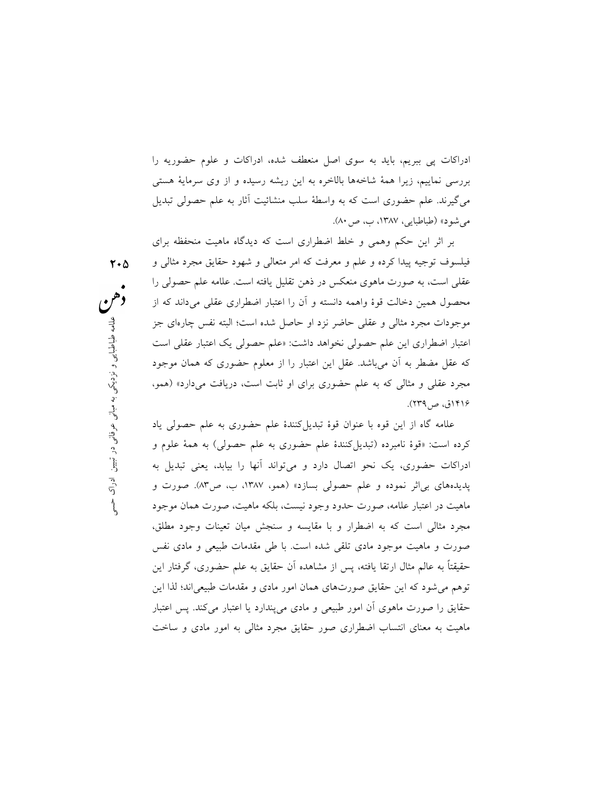ادراكات پي ببريم، بايد به سوي اصل منعطف شده، ادراكات و علوم حضوريه را بررسي نماييم، زيرا همة شاخهها بالاخره به اين ريشه رسيده و از وي سرماية هستي ميگيرند. علم حضورى است كه به واسطة سلب منشائيت آثار به علم حصولى تبديل ميشود» (طباطبايي، ،١٣٨٧ ب، ص٨٠).

او حاصل شده است؛ البته نفس چارهای جز<br>داشت: «علم حصولی یک اعتبار عقلی است<br>تبار را از معلوم حضوری که همان موجود<br>برای او ثابت است، دریافت میدارد» (همو،<br>یلکنندهٔ علم حضوری به علم حصولی یاد<br>حضوری به علم حصولی) به همهٔ علوم و م بر اثر اين حكم وهمي و خلط اضطراري است كه ديدگاه ماهيت منحفظه براي فيلسوف توجيه پيدا كرده و علم و معرفت كه امر متعالي و شهود حقايق مجرد مثالي و عقلي است، به صورت ماهوي منعكس در ذهن تقليل يافته است. علامه علم حصولى را محصول همين دخالت قوة واهمه دانسته و آن را اعتبار اضطراري عقلي ميداند كه از موجودات مجرد مثالي و عقلي حاضر نزد او حاصل شده است؛ البته نفس چارهاي جز اعتبار اضطراري اين علم حصولي نخواهد داشت: «علم حصولي يك اعتبار عقلي است كه عقل مضطر به آن ميباشد. عقل اين اعتبار را از معلوم حضوري كه همان موجود مجرد عقلي و مثالي كه به علم حضوري براي او ثابت است، دريافت ميدارد» (همو، ١٤١٦ق، ص٢٣٩).

علامه گاه از اين قوه با عنوان قوهٔ تبديل كنندهٔ علم حضورى به علم حصولى ياد كرده است: «قوة نامبرده (تبديلكنندة علم حضورى به علم حصولى) به همة علوم و ادراكات حضوري، يك نحو اتصال دارد و ميتواند آنها را بيابد، يعني تبديل به پديدههاي بياثر نموده و علم حصولي بسازد» (همو، ،١٣٨٧ ب، ص٨٣). صورت و ماهيت در اعتبار علامه، صورت حدود وجود نيست، بلكه ماهيت، صورت همان موجود مجرد مثالي است كه به اضطرار و با مقايسه و سنجش ميان تعينات وجود مطلق، صورت و ماهيت موجود مادي تلقي شده است. با طي مقدمات طبيعي و مادي نفس حقيقتًا به عالم مثال ارتقا يافته، پس از مشاهده آن حقايق به علم حضوري، گرفتار اين توهم ميشود كه اين حقايق صورتهاي همان امور مادي و مقدمات طبيعياند؛ لذا اين حقايق را صورت ماهوي آن امور طبيعي و مادي ميپندارد يا اعتبار ميكند. پس اعتبار ماهيت به معناي انتساب اضطراري صور حقايق مجرد مثالي به امور مادي و ساخت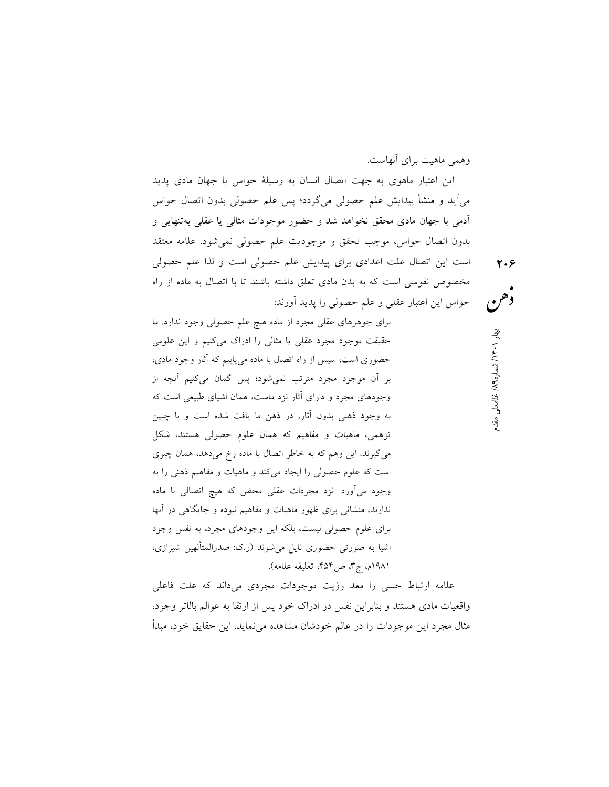مع هي مهار ١٠٠١ بشماره ١٩٨ ان نقدم و هي معهار ٢٠٠<br>هي هو<br>- هي المقدم ان الدين بهار ٢٠٠ هجر ان الدين بهار 1.4 هجر ان الدين بهار 1.4 هجر ان الدين بهاره 1.4 هجر ان الدين وهمي ماهيت براي آنهاست. اين اعتبار ماهوي به جهت اتصال انسان به وسيلة حواس با جهان مادي پديد ميآيد و منشأ پيدايش علم حصولي ميگردد؛ پس علم حصولى بدون اتصال حواس آدمي با جهان مادي محقق نخواهد شد و حضور موجودات مثالي يا عقلي بهتنهايي و بدون اتصال حواس، موجب تحقق و موجوديت علم حصولى نميشود. علامه معتقد است اين اتصال علت اعدادي براي پيدايش علم حصولى است و لذا علم حصولي مخصوص نفوسي است كه به بدن مادي تعلق داشته باشند تا با اتصال به ماده از راه حواس اين اعتبار عقلي و علم حصولي را پديد آورند:

براي جوهرهاي عقلي مجرد از ماده هيچ علم حصولي وجود ندارد. ما حقيقت موجود مجرد عقلي يا مثالي را ادراك ميكنيم و اين علومي حضوري است، سپس از راه اتصال با ماده مييابيم كه آثار وجود مادى، بر آن موجود مجرد مترتب نميشود؛ پس گمان ميكنيم آنچه از وجودهاي مجرد و داراي آثار نزد ماست، همان اشياي طبيعي است كه به وجود ذهني بدون آثار، در ذهن ما يافت شده است و با چنين توهمي، ماهيات و مفاهيم كه همان علوم حصولي هستند، شكل ميگيرند. اين وهم كه به خاطر اتصال با ماده رخ ميدهد، همان چيزي است كه علوم حصولي را ايجاد ميكند و ماهيات و مفاهيم ذهني را به وجود ميآورد. نزد مجردات عقلي محض كه هيچ اتصالي با ماده ندارند، منشائي براي ظهور ماهيات و مفاهيم نبوده و جايگاهي در آنها براي علوم حصولي نيست، بلكه اين وجودهاي مجرد، به نفس وجود اشيا به صورتي حضوري نايل ميشوند (ر.ك: صدرالمتألهين شيرازي، ١٩٨١م، ج،٣ ص،٤٥٤ تعليقه علامه).

علامه ارتباط حسي را معد رؤيت موجودات مجردي ميداند كه علت فاعلي واقعيات مادي هستند و بنابراين نفس در ادراك خود پس از ارتقا به عوالم بالاتر وجود، مثال مجرد اين موجودات را در عالم خودشان مشاهده مينمايد. اين حقايق خود، مبدأ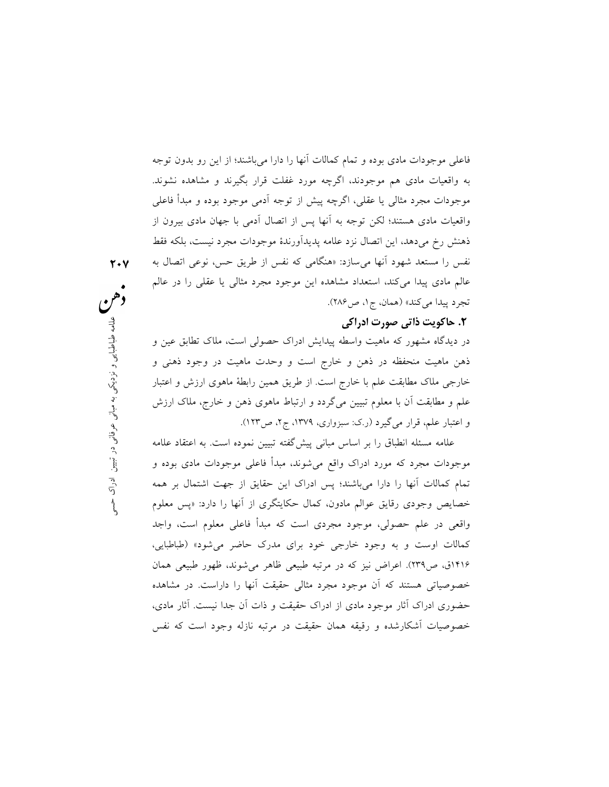فاعلي موجودات مادي بوده و تمام كمالات آنها را دارا ميباشند؛ از اين رو بدون توجه به واقعيات مادي هم موجودند، اگرچه مورد غفلت قرار بگيرند و مشاهده نشوند. موجودات مجرد مثالي يا عقلي، اگرچه پيش از توجه آدمي موجود بوده و مبدأ فاعلي واقعيات مادي هستند؛ لكن توجه به آنها پس از اتصال آدمي با جهان مادي بيرون از ذهنش رخ ميدهد، اين اتصال نزد علامه پديدآورندة موجودات مجرد نيست، بلكه فقط نفس را مستعد شهود آنها ميسازد: «هنگامي كه نفس از طريق حس، نوعي اتصال به عالم مادي پيدا ميكند، استعداد مشاهده اين موجود مجرد مثالي يا عقلي را در عالم تجرد پيدا ميكند» (همان، ج،١ ص٢٨٦).

### .٢ حاكويت ذاتي صورت ادراكي

بادراک حصولی است، ملاک تطابق عین و<br>ست و وحدت ماهیت در وجود ذهنی و<br>از طریق همین رابطهٔ ماهوی ارزش و اعتبار<br>و ارتباط ماهوی ذهن و خارج، ملاک ارزش<br>پیش گفته تبیین نموده است. به اعتقاد عللهه<br>پیش گفته تبیین نموده است. به اعتقاد در ديدگاه مشهور كه ماهيت واسطه پيدايش ادراك حصولي است، ملاك تطابق عين و ذهن ماهيت منحفظه در ذهن و خارج است و وحدت ماهيت در وجود ذهني و خارجي ملاك مطابقت علم با خارج است. از طريق همين رابطة ماهوي ارزش و اعتبار علم و مطابقت آن با معلوم تبيين ميگردد و ارتباط ماهوي ذهن و خارج، ملاك ارزش و اعتبار علم، قرار ميگيرد (ر.ك: سبزواري، ،١٣٧٩ ج،٢ ص١٢٣).

علامه مسئله انطباق را بر اساس مباني پيشگفته تبيين نموده است. به اعتقاد علامه موجودات مجرد كه مورد ادراك واقع ميشوند، مبدأ فاعلي موجودات مادي بوده و تمام كمالات آنها را دارا ميباشند؛ پس ادراك اين حقايق از جهت اشتمال بر همه خصايص وجودي رقايق عوالم مادون، كمال حكايتگري از آنها را دارد: «پس معلوم واقعي در علم حصولي، موجود مجردي است كه مبدأ فاعلي معلوم است، واجد كمالات اوست و به وجود خارجي خود براي مدرك حاضر ميشود» (طباطبايي، ١۴١۶ق، ص٢٣٩). اعراض نيز كه در مرتبه طبيعي ظاهر مي شوند، ظهور طبيعي همان خصوصياتي هستند كه آن موجود مجرد مثالي حقيقت آنها را داراست. در مشاهده حضوري ادراك آثار موجود مادي از ادراك حقيقت و ذات آن جدا نيست. آثار مادي، خصوصيات آشكارشده و رقيقه همان حقيقت در مرتبه نازله وجود است كه نفس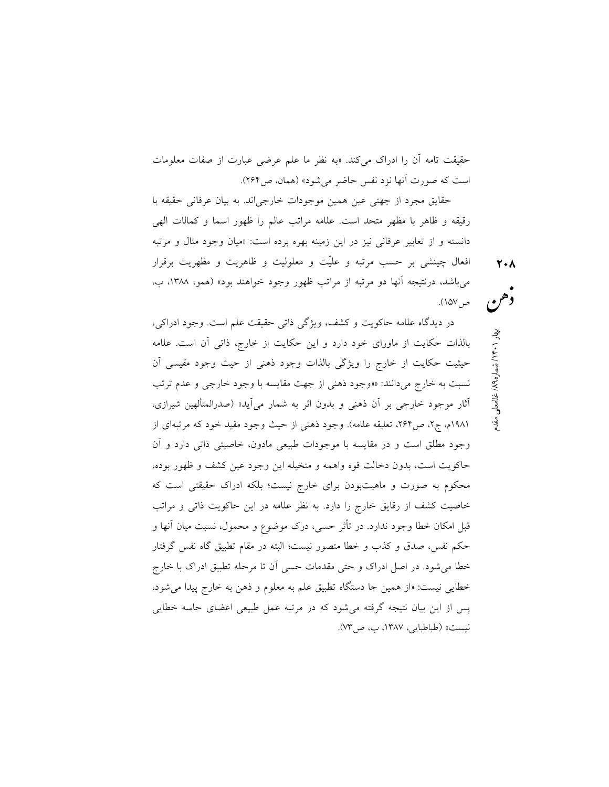حقيقت تامه آن را ادراك ميكند. «به نظر ما علم عرضي عبارت از صفات معلومات است كه صورت آنها نزد نفس حاضر ميشود» (همان، ص٢٦٤).

حقايق مجرد از جهتي عين همين موجودات خارجياند. به بيان عرفاني حقيقه با رقيقه و ظاهر با مظهر متحد است. علامه مراتب عالم را ظهور اسما و كمالات الهي دانسته و از تعابير عرفاني نيز در اين زمينه بهره برده است: «ميان وجود مثال و مرتبه افعال چينشى بر حسب مرتبه و عليّت و معلوليت و ظاهريت و مظهريت برقرار مىباشد، درنتيجه آنها دو مرتبه از مراتب ظهور وجود خواهند بود» (همو، ،١٣٨٨ ب،

ص١٥٧). در ديدگاه علامه حاكويت و كشف، ويژگي ذاتي حقيقت علم است. وجود ادراكي، بالذات حكايت از ماوراي خود دارد و اين حكايت از خارج، ذاتي آن است. علامه حيثيت حكايت از خارج را ويژگي بالذات وجود ذهني از حيث وجود مقيسي آن نسبت به خارج ميدانند: ««وجود ذهني از جهت مقايسه با وجود خارجي و عدم ترتب آثار موجود خارجي بر آن ذهني و بدون اثر به شمار ميآيد» (صدرالمتألهين شيرازي، ١٩٨١م، ج،٢ ص،٢٦٤ تعليقه علامه). وجود ذهني از حيث وجود مقيد خود كه مرتبهاي از وجود مطلق است و در مقايسه با موجودات طبيعي مادون، خاصيتي ذاتي دارد و آن حاكويت است، بدون دخالت قوه واهمه و متخيله اين وجود عين كشف و ظهور بوده، محكوم به صورت و ماهيتبودن براي خارج نيست؛ بلكه ادراك حقيقتي است كه خاصيت كشف از رقايق خارج را دارد. به نظر علامه در اين حاكويت ذاتي و مراتب قبل امكان خطا وجود ندارد. در تأثر حسي، درك موضوع و محمول، نسبت ميان آنها و حكم نفس، صدق و كذب و خطا متصور نيست؛ البته در مقام تطبيق گاه نفس گرفتار

خطا ميشود. در اصل ادراك و حتي مقدمات حسي آن تا مرحله تطبيق ادراك با خارج

خطايي نيست: «از همين جا دستگاه تطبيق علم به معلوم و ذهن به خارج پيدا مىشود،

پس از اين بيان نتيجه گرفته مىشود كه در مرتبه عمل طبيعى اعضاى حاسه خطايى

نيست» (طباطبايي، ،١٣٨٧ ب، ص٧٣).

غامه معلي مي مهار ۱۰۰ مع ا∕ نشماره ۶۸ كتاب مقدم 14<br>وهم<br>محل مقدم ا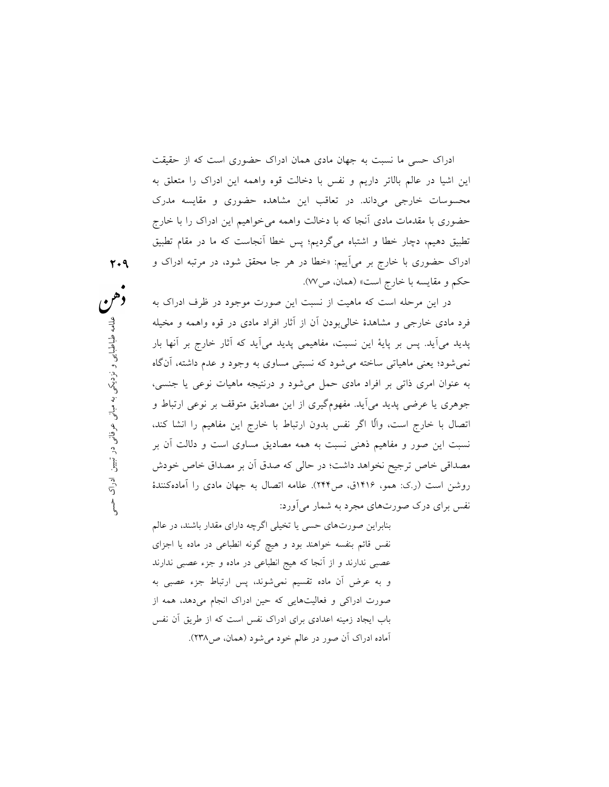ادراك حسي ما نسبت به جهان مادي همان ادراك حضوري است كه از حقيقت اين اشيا در عالم بالاتر داريم و نفس با دخالت قوه واهمه اين ادراك را متعلق به محسوسات خارجي ميداند. در تعاقب اين مشاهده حضوري و مقايسه مدرك حضوري با مقدمات مادي آنجا كه با دخالت واهمه ميخواهيم اين ادراك را با خارج تطبيق دهيم، دچار خطا و اشتباه ميگرديم؛ پس خطا آنجاست كه ما در مقام تطبيق ادراك حضوري با خارج بر ميآييم: «خطا در هر جا محقق شود، در مرتبه ادراك و حكم و مقايسه با خارج است» (همان، ص٧٧).

ن از آثار افراد مادى در قوه واهمه و مخيله<br>يمى پديد مى آيد كه آثار خارج بر آنها بار<br>نسبتى مساوى به وجود و عدم داشته، آنگاه<br>مىشود و درنتيجه ماهيات نوعى يا جنسى،<br>ن از اين مصاديق متوقف بر نوعى ارتباط و<br>همه مصاديق مساوى است و در اين مرحله است كه ماهيت از نسبت اين صورت موجود در ظرف ادراك به فرد مادي خارجي و مشاهدة خاليبودن آن از آثار افراد مادي در قوه واهمه و مخيله پديد ميآيد. پس بر پاية اين نسبت، مفاهيمي پديد ميآيد كه آثار خارج بر آنها بار نميشود؛ يعني ماهياتي ساخته ميشود كه نسبتي مساوي به وجود و عدم داشته، آنگاه به عنوان امري ذاتي بر افراد مادي حمل ميشود و درنتيجه ماهيات نوعي يا جنسى، جوهري يا عرضي پديد ميآيد. مفهومگيري از اين مصاديق متوقف بر نوعي ارتباط و اتصال با خارج است، واّلا اگر نفس بدون ارتباط با خارج اين مفاهيم را انشا كند، نسبت اين صور و مفاهيم ذهني نسبت به همه مصاديق مساوي است و دلالت آن بر مصداقي خاص ترجيح نخواهد داشت؛ در حالي كه صدق آن بر مصداق خاص خودش روشن است (ر.ك: همو، ١٤١٦ق، ص٢٤٤). علامه اتصال به جهان مادي را آمادهكنندة نفس براي درك صورتهاي مجرد به شمار ميآورد:

> بنابراين صورتهاي حسي يا تخيلي اگرچه داراي مقدار باشند، در عالم نفس قائم بنفسه خواهند بود و هيچ گونه انطباعي در ماده يا اجزاي عصبي ندارند و از آنجا كه هيج انطباعي در ماده و جزء عصبي ندارند و به عرض آن ماده تقسيم نميشوند، پس ارتباط جزء عصبي به صورت ادراكي و فعاليتهايي كه حين ادراك انجام ميدهد، همه از باب ايجاد زمينه اعدادي براي ادراك نفس است كه از طريق آن نفس آماده ادراك آن صور در عالم خود ميشود (همان، ص٢٣٨).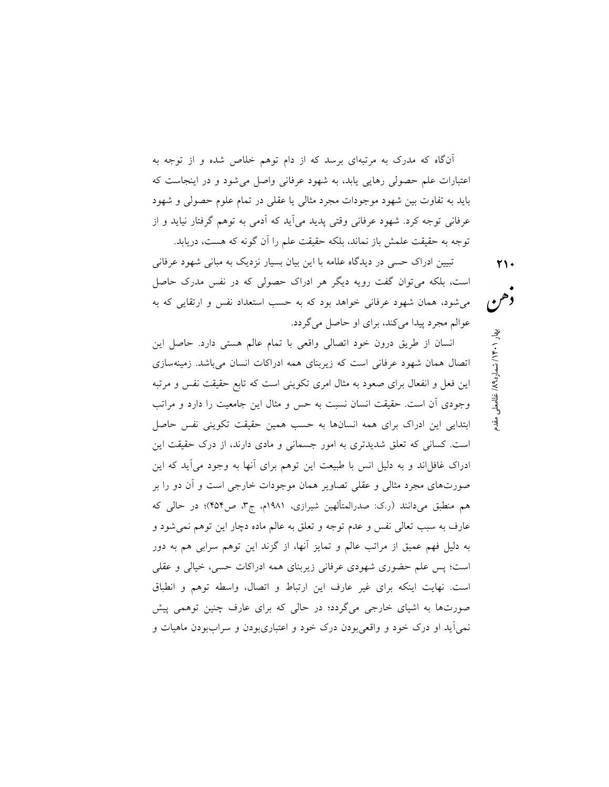آنگاه كه مدرك به مرتبهاي برسد كه از دام توهم خلاص شده و از توجه به اعتبارات علم حصولى رهايي يابد، به شهود عرفاني واصل ميشود و در اينجاست كه بايد به تفاوت بين شهود موجودات مجرد مثالي يا عقلي در تمام علوم حصولي و شهود عرفاني توجه كرد. شهود عرفاني وقتي پديد ميآيد كه آدمي به توهم گرفتار نيايد و از توجه به حقيقت علمش باز نماند، بلكه حقيقت علم را آن گونه كه هست، دريابد.

تبيين ادراك حسي در ديدگاه علامه با اين بيان بسيار نزديك به مباني شهود عرفاني است، بلكه ميتوان گفت رويه ديگر هر ادراك حصولي كه در نفس مدرك حاصل ميشود، همان شهود عرفاني خواهد بود كه به حسب استعداد نفس و ارتقايي كه به عوالم مجرد پيدا ميكند، براي او حاصل ميگردد.

انسان از طريق درون خود اتصالي واقعي با تمام عالم هستي دارد. حاصل اين اتصال همان شهود عرفاني است كه زيربناي همه ادراكات انسان ميباشد. زمينهسازي اين فعل و انفعال براي صعود به مثال امري تكويني است كه تابع حقيقت نفس و مرتبه وجودي آن است. حقيقت انسان نسبت به حس و مثال اين جامعيت را دارد و مراتب ابتدايي اين ادراك براي همه انسانها به حسب همين حقيقت تكويني نفس حاصل است. كساني كه تعلق شديدتري به امور جسماني و مادي دارند، از درك حقيقت اين ادراك غافل اند و به دليل انس با طبيعت اين توهم براي آنها به وجود مي آيد كه اين صورتهاي مجرد مثالي و عقلي تصاوير همان موجودات خارجي است و آن دو را بر هم منطبق ميدانند (ر.ك: صدرالمتألهين شيرازي، ١٩٨١م، ج،٣ ص٤٥٤)؛ در حالي كه عارف به سبب تعالي نفس و عدم توجه و تعلق به عالم ماده دچار اين توهم نميشود و به دليل فهم عميق از مراتب عالم و تمايز آنها، از گزند اين توهم سرابي هم به دور است؛ پس علم حضوري شهودي عرفاني زيربناي همه ادراكات حسي، خيالي و عقلي است. نهايت اينكه براي غير عارف اين ارتباط و اتصال، واسطه توهم و انطباق صورتها به اشياي خارجي ميگردد؛ در حالي كه براي عارف چنين توهمي پيش نميآيد او درك خود و واقعيبودن درك خود و اعتباريبودن و سراببودن ماهيات و

غلامعلي مقدم / ٨٩ ه / شمار ١٤٠١ بهار ٢١٠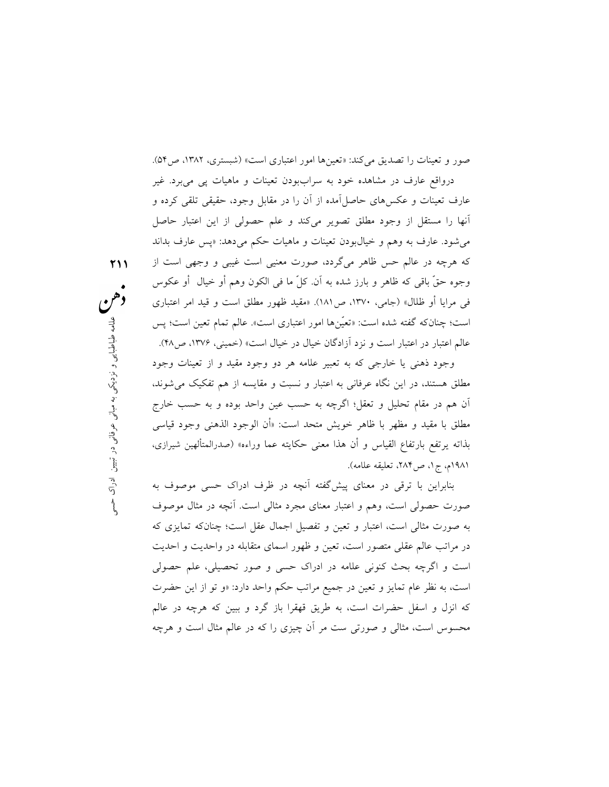صور و تعينات را تصديق مي كند: «تعينها امور اعتباري است» (شبستري، ١٣٨٢، ص٥۴). درواقع عارف در مشاهده خود به سراببودن تعينات و ماهيات پي ميبرد. غير

عارف تعينات و عكسهاي حاصلآمده از آن را در مقابل وجود، حقيقي تلقي كرده و آنها را مستقل از وجود مطلق تصوير ميكند و علم حصولي از اين اعتبار حاصل ميشود. عارف به وهم و خيالبودن تعينات و ماهيات حكم ميدهد: «پس عارف بداند كه هرچه در عالم حس ظاهر مىگردد، صورت معنيى است غيبى و وجهي است از وجوه حقّ باقى كه ظاهر و بارز شده به آن. كلّ ما في الكون وهم أو خيال ً أو عكوس في مرايا أو ظلال» (جامي، ،١٣٧٠ ص١٨١). «مقيد ظهور مطلق است و قيد امر اعتباري است؛ چنانكه گفته شده است: «تعّينها امور اعتباري است». عالم تمام تعين است؛ پس

عالم اعتبار در اعتبار است و نزد آزادگان خيال در خيال است» (خميني، ،١٣٧٦ ص٤٨). وجود ذهني يا خارجي كه به تعبير علامه هر دو وجود مقيد و از تعينات وجود

ر اعتبارى است». عالم تمام تعين است؛ پس<br>بال در خيال است» (خمينى، ۱۳۷۶، ص۴۸).<br>لمامه هر دو وجود مقيد و از تعينات وجود<br>حسب عين واحد بوده و به حسب خارج<br>حسب عين واحد بوده و به حسب خارج<br>حل است: «أن الوجود الذهنى وجود قياسى<br>حكايت مطلق هستند، در اين نگاه عرفاني به اعتبار و نسبت و مقايسه از هم تفكيك ميشوند، آن هم در مقام تحليل و تعقل؛ اگرچه به حسب عين واحد بوده و به حسب خارج مطلق با مقيد و مظهر با ظاهر خويش متحد است: «أن الوجود الذهني وجود قياسي بذاته يرتفع بارتفاع القياس و أن هذا معنى حكايته عما وراءه» (صدرالمتألهين شيرازي، ١٩٨١م، ج،١ ص،٢٨٤ تعليقه علامه).

بنابراين با ترقي در معناي پيشگفته آنچه در ظرف ادراك حسي موصوف به صورت حصولي است، وهم و اعتبار معناي مجرد مثالي است. آنچه در مثال موصوف به صورت مثالي است، اعتبار و تعين و تفصيل اجمال عقل است؛ چنانكه تمايزي كه در مراتب عالم عقلي متصور است، تعين و ظهور اسماي متقابله در واحديت و احديت است و اگرچه بحث كنوني علامه در ادراك حسي و صور تحصيلي، علم حصولي است، به نظر عام تمايز و تعين در جميع مراتب حكم واحد دارد: «و تو از اين حضرت كه انزل و اسفل حضرات است، به طريق قهقرا باز گرد و ببين كه هرچه در عالم محسوس است، مثالى و صورتي ست مر آن چيزى را كه در عالم مثال است و هرچه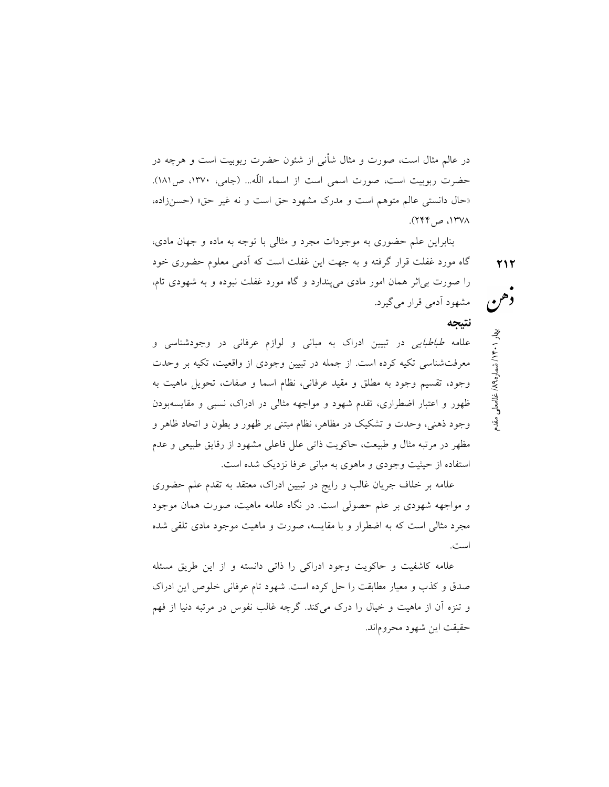در عالم مثال است، صورت و مثال شأنى از شئون حضرت ربوبيت است و هرچه در حضرت ربوبيت است، صورت اسمي است از اسماء اللَّه... (جامي، ١٣٧٠، ص١٨١). «حال دانستى عالم متوهم است و مدرك مشهود حق است و نه غير حق» (حسنزاده، ،١٣٧٨ ص٢٤٤).

غلام معلي مقدم / شمار ١٤٠١ بهار ٢١٢<br>في معلي<br>مقدم الاستعمال المقدم بهار 11.1 بهار 13.1 بهار 13.1 بهار 13.1 بهار 13.1 بهار 13.1 بهار 13.1 بهار 13.1 بهار 13 بنابراين علم حضورى به موجودات مجرد و مثالي با توجه به ماده و جهان مادى، گاه مورد غفلت قرار گرفته و به جهت اين غفلت است كه آدمي معلوم حضوري خود را صورت بياثر همان امور مادي ميپندارد و گاه مورد غفلت نبوده و به شهودي تام، مشهود آدمي قرار ميگيرد.

### نتيجه

علامه طباطبايي در تبيين ادراك به مباني و لوازم عرفاني در وجودشناسي و معرفتشناسي تكيه كرده است. از جمله در تبيين وجودي از واقعيت، تكيه بر وحدت وجود، تقسيم وجود به مطلق و مقيد عرفاني، نظام اسما و صفات، تحويل ماهيت به ظهور و اعتبار اضطراري، تقدم شهود و مواجهه مثالي در ادراك، نسبي و مقايسهبودن وجود ذهني، وحدت و تشكيك در مظاهر، نظام مبتني بر ظهور و بطون و اتحاد ظاهر و مظهر در مرتبه مثال و طبيعت، حاكويت ذاتي علل فاعلي مشهود از رقايق طبيعي و عدم استفاده از حيثيت وجودي و ماهوي به مباني عرفا نزديك شده است.

علامه بر خلاف جريان غالب و رايج در تبيين ادراك، معتقد به تقدم علم حضوري و مواجهه شهودي بر علم حصولي است. در نگاه علامه ماهيت، صورت همان موجود مجرد مثالي است كه به اضطرار و با مقايسه، صورت و ماهيت موجود مادي تلقي شده است.

علامه كاشفيت و حاكويت وجود ادراكي را ذاتي دانسته و از اين طريق مسئله صدق و كذب و معيار مطابقت را حل كرده است. شهود تام عرفاني خلوص اين ادراك و تنزه آن از ماهيت و خيال را درك ميكند. گرچه غالب نفوس در مرتبه دنيا از فهم حقيقت اين شهود محروماند.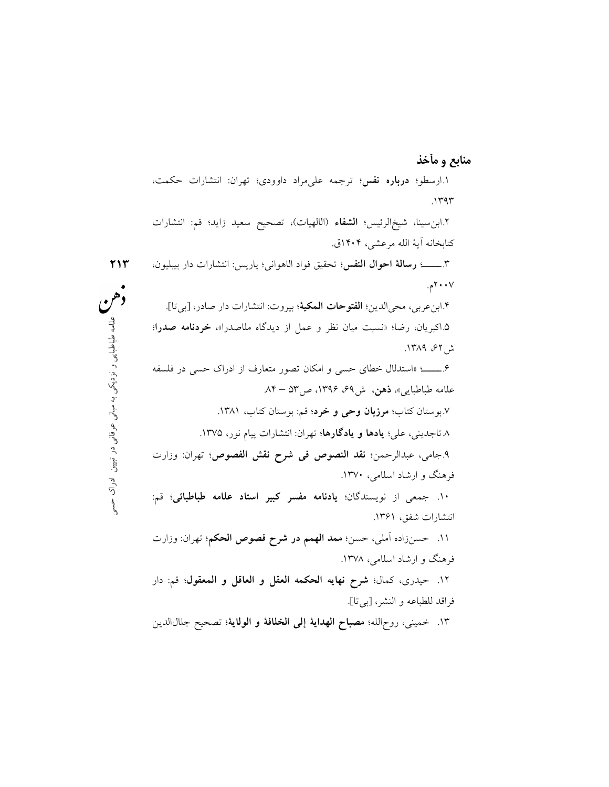عمل از ديدگاه ملاصدرا»، **خردنامه صدرا؛**<br>كان تصور متعارف از ادراك حسى در فلسفه<br>ص۵۳ – ۸۴ .<br>• قم: بوستان كتاب، ۱۳۸۱.<br>وان: انتشارات پيام نور، ۱۳۷۵.<br>فى **شرح نقش الفصوص؛** تهران: وزارت<br>فى **شرح نقش الفصوص؛** تهران: وزارت<br>فى **شرح ن**  ٢١٣ منابع و مآخذ .١ارسطو؛ درباره نفس؛ ترجمه عليمراد داوودي؛ تهران: انتشارات حكمت، .١٣٩٣ .٢ابنسينا، شيخالرئيس؛ الشفاء (الالهيات)، تصحيح سعيد زايد؛ قم: انتشارات كتابخانه آية الله مرعشى، ١٤٠٤ق. .٣ـــــ؛ رسالة احوال النفس؛ تحقيق فواد الاهوانى؛ پاريس: انتشارات دار بيبليون، ٢٠٠٧م. .٤ابنعربى، محىالدين؛ الفتوحات المكية؛ بيروت: انتشارات دار صادر، [بيتا]. .٥اكبريان، رضا؛ «نسبت ميان نظر و عمل از ديدگاه ملاصدرا»، خردنامه صدرا؛ ش،٦٢ .١٣٨٩ .٦ـــــ؛ «استدلال خطاي حسي و امكان تصور متعارف از ادراك حسي در فلسفه علامه طباطبايي»، ذهن، ش،٦٩ ،١٣٩٦ ص٥٣ – .٨٤ .٧بوستان كتاب؛ مرزبان وحي و خرد؛ قم: بوستان كتاب، .١٣٨١ ٨ تاجديني، علي؛ يادها و يادگارها؛ تهران: انتشارات پيام نور، ١٣٧٥. .٩جامى، عبدالرحمن؛ نقد النصوص في شرح نقش الفصوص؛ تهران: وزارت فرهنگ و ارشاد اسلامى، .١٣٧٠ .١٠ جمعى از نويسندگان؛ يادنامه مفسر كبير استاد علامه طباطبائى؛ قم: انتشارات شفق، .١٣٦١ .١١ حسنزاده آملى، حسن؛ ممد الهمم در شرح فصوص الحكم؛ تهران: وزارت فرهنگ و ارشاد اسلامى، .١٣٧٨ .١٢ حيدرى، كمال؛ شرح نهايه الحكمه العقل و العاقل و المعقول؛ قم: دار فراقد للطباعه و النشر، [بيتا]. ١٣. خميني، روح|لله؛ **مصباح الهداية إلى الخلافة و الولاية**؛ تصحيح جلال|لدين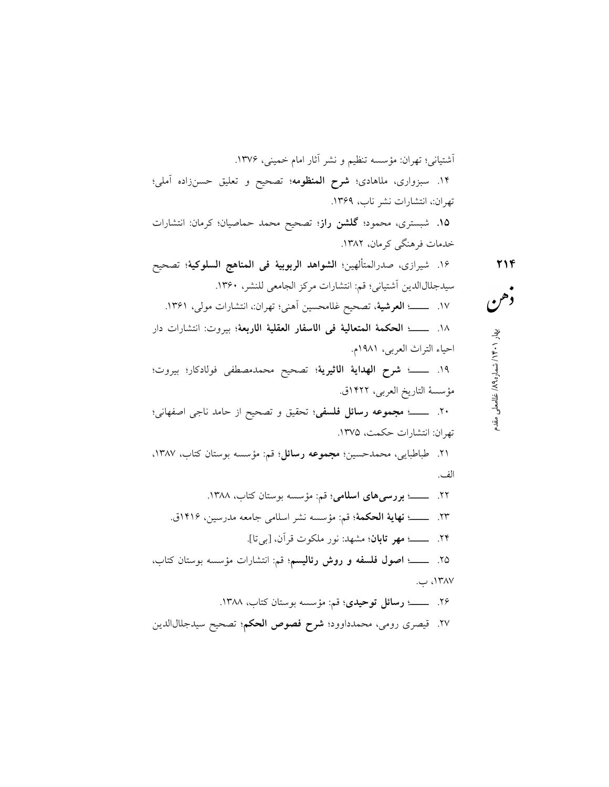غلامعلي مقدم / ٨٩ ه / شمار ١٤٠١ بهار ٢١٤ آشتياني؛ تهران: مؤسسه تنظيم و نشر آثار امام خمينى، .١٣٧٦ .١٤ سبزوارى، ملاهادي؛ شرح المنظومه؛ تصحيح و تعليق حسنزاده آملى؛ تهران،: انتشارات نشر ناب، .١٣٦٩ .١٥ شبسترى، محمود؛ گلشن راز؛ تصحيح محمد حماصيان؛ كرمان: انتشارات خدمات فرهنگى كرمان، .١٣٨٢ .١٦ شيرازي، صدرالمتألهين؛ الشواهد الربوبية فى المناهج السلوكية؛ تصحيح سيدجلالالدين آشتيانى؛ قم: انتشارات مركز الجامعى للنشر، .١٣٦٠ .١٧ ـــــ؛ العرشية، تصحيح غلامحسين آهنى؛ تهران،: انتشارات مولى، .١٣٦١ .١٨ ـــــ؛ الحكمة المتعالية فى الاسفار العقلية الاربعة؛ بيروت: انتشارات دار احياء التراث العربي، ١٩٨١م. .١٩ ـــــ؛ شرح الهداية الاثيرية؛ تصحيح محمدمصطفى فولادكار؛ بيروت؛ مؤسسة التاريخ العربى، ١٤٢٢ق. .٢٠ ـــــ؛ مجموعه رسائل فلسفى؛ تحقيق و تصحيح از حامد ناجى اصفهانى؛ تهران: انتشارات حكمت، .١٣٧٥ .٢١ طباطبايى، محمدحسين؛ مجموعه رسائل؛ قم: مؤسسه بوستان كتاب، ،١٣٨٧ الف. .٢٢ ـــــ؛ بررسيهاي اسلامي؛ قم: مؤسسه بوستان كتاب، .١٣٨٨ .٢٣ ـــــ؛ نهاية الحكمة؛ قم: مؤسسه نشر اسلامي جامعه مدرسين، ١٤١٦ق. .٢٤ ـــــ؛ مهر تابان؛ مشهد: نور ملكوت قرآن، [بيتا]. .٢٥ ـــــ؛ اصول فلسفه و روش رئاليسم؛ قم: انتشارات مؤسسه بوستان كتاب، ،١٣٨٧ ب. .٢٦ ـــــ؛ رسائل توحيدي؛ قم: مؤسسه بوستان كتاب، .١٣٨٨ .٢٧ قيصرى رومى، محمدداوود؛ شرح فصوص الحكم؛ تصحيح سيدجلالالدين